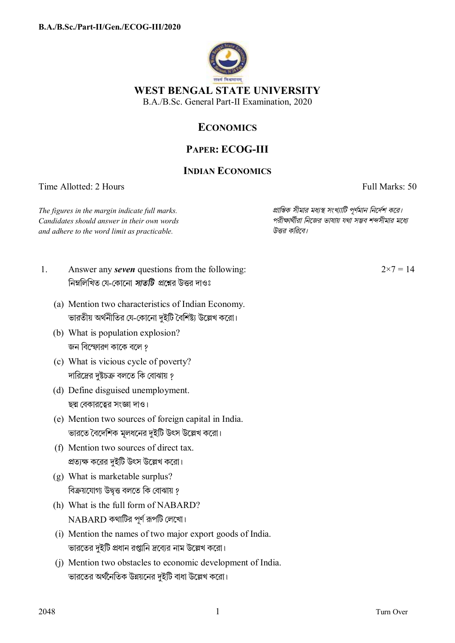

## **ECONOMICS**

## **PAPER: ECOG-III**

## **INDIAN ECONOMICS**

Time Allotted: 2 Hours Full Marks: 50

*The figures in the margin indicate full marks. pািnক সীমার মধ°s সংখ°ািট পূণমান িনেদশ কের। Candidates should answer in their own words পরীkাথীরা িনেজর ভাষায় যথা সmব শbসীমার মেধ° and adhere to the word limit as practicable. উtর কিরেব।*

- 1. Answer any *seven* questions from the following: নিম্নলিখিত যে-কোনো *সাতটি প্র*শ্নের উত্তর দাওঃ
	- (a) Mention two characteristics of Indian Economy. ভারতীয় অর্থনীতির যে-কোনো দুইটি বৈশিষ্ট্য উল্লেখ করো।
	- (b) What is population explosion? জন বিস্ফোরণ কাকে বলে ?
	- (c) What is vicious cycle of poverty? দারিদ্রের দুষ্টচক্র বলতে কি বোঝায় ?
	- (d) Define disguised unemployment. ছদ্ম বেকারত্বের সংজ্ঞা দাও।
	- (e) Mention two sources of foreign capital in India. ভারতে বৈদেশিক মূলধনের দুইটি উৎস উল্লেখ করো।
	- (f) Mention two sources of direct tax. প্রত্যক্ষ করের দুইটি উৎস উল্লেখ করো।
	- (g) What is marketable surplus? বিক্রয়যোগ্য উদ্বত্ত বলতে কি বোঝায় ?
	- (h) What is the full form of NABARD?  $NABARD$  কথাটির পূর্ণ রূপটি লেখাে।
	- (i) Mention the names of two major export goods of India. ভারতের দুইটি প্রধান রপ্তানি দ্রব্যের নাম উল্লেখ করো।
	- (j) Mention two obstacles to economic development of India. ভারতের অর্থনৈতিক উন্নয়নের দুইটি বাধা উল্লেখ করো।

 $2 \times 7 = 14$